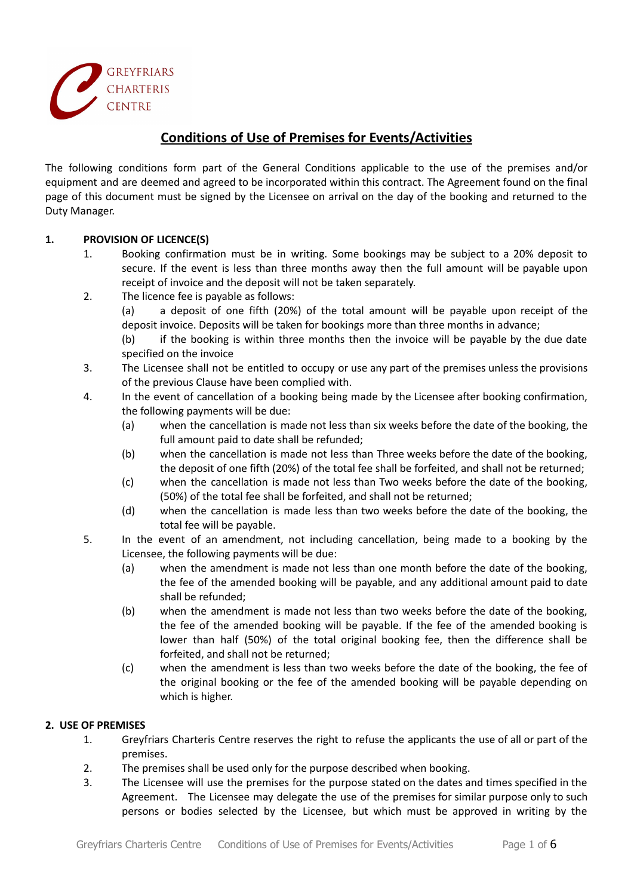

# **Conditions of Use of Premises for Events/Activities**

The following conditions form part of the General Conditions applicable to the use of the premises and/or equipment and are deemed and agreed to be incorporated within this contract. The Agreement found on the final page of this document must be signed by the Licensee on arrival on the day of the booking and returned to the Duty Manager.

# **1. PROVISION OF LICENCE(S)**

- 1. Booking confirmation must be in writing. Some bookings may be subject to a 20% deposit to secure. If the event is less than three months away then the full amount will be payable upon receipt of invoice and the deposit will not be taken separately.
- 2. The licence fee is payable as follows:

(a) a deposit of one fifth (20%) of the total amount will be payable upon receipt of the deposit invoice. Deposits will be taken for bookings more than three months in advance;

- (b) if the booking is within three months then the invoice will be payable by the due date specified on the invoice
- 3. The Licensee shall not be entitled to occupy or use any part of the premises unless the provisions of the previous Clause have been complied with.
- 4. In the event of cancellation of a booking being made by the Licensee after booking confirmation, the following payments will be due:
	- (a) when the cancellation is made not less than six weeks before the date of the booking, the full amount paid to date shall be refunded;
	- (b) when the cancellation is made not less than Three weeks before the date of the booking, the deposit of one fifth (20%) of the total fee shall be forfeited, and shall not be returned;
	- (c) when the cancellation is made not less than Two weeks before the date of the booking, (50%) of the total fee shall be forfeited, and shall not be returned;
	- (d) when the cancellation is made less than two weeks before the date of the booking, the total fee will be payable.
- 5. In the event of an amendment, not including cancellation, being made to a booking by the Licensee, the following payments will be due:
	- (a) when the amendment is made not less than one month before the date of the booking, the fee of the amended booking will be payable, and any additional amount paid to date shall be refunded;
	- (b) when the amendment is made not less than two weeks before the date of the booking, the fee of the amended booking will be payable. If the fee of the amended booking is lower than half (50%) of the total original booking fee, then the difference shall be forfeited, and shall not be returned;
	- (c) when the amendment is less than two weeks before the date of the booking, the fee of the original booking or the fee of the amended booking will be payable depending on which is higher.

#### **2. USE OF PREMISES**

- 1. Greyfriars Charteris Centre reserves the right to refuse the applicants the use of all or part of the premises.
- 2. The premises shall be used only for the purpose described when booking.
- 3. The Licensee will use the premises for the purpose stated on the dates and times specified in the Agreement. The Licensee may delegate the use of the premises for similar purpose only to such persons or bodies selected by the Licensee, but which must be approved in writing by the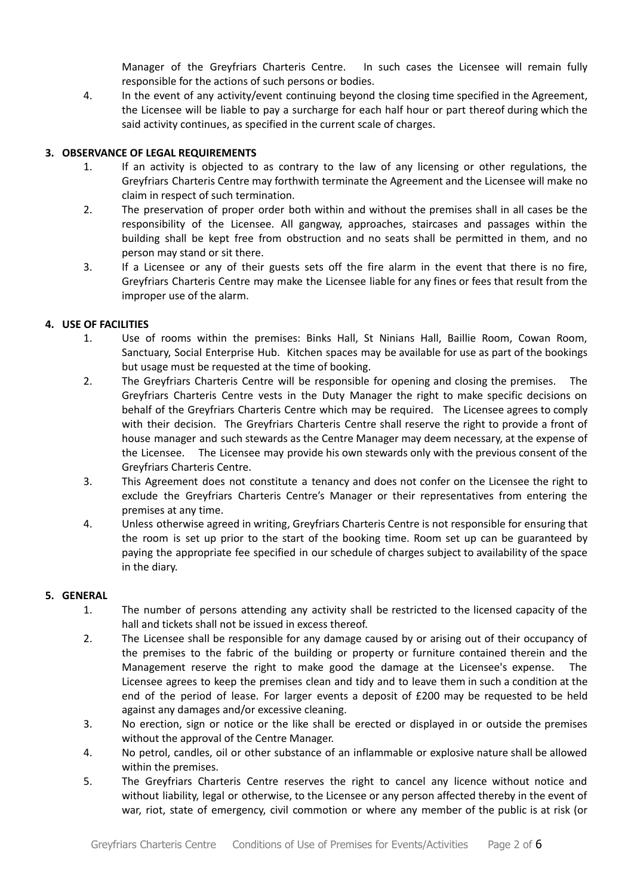Manager of the Greyfriars Charteris Centre. In such cases the Licensee will remain fully responsible for the actions of such persons or bodies.

4. In the event of any activity/event continuing beyond the closing time specified in the Agreement, the Licensee will be liable to pay a surcharge for each half hour or part thereof during which the said activity continues, as specified in the current scale of charges.

# **3. OBSERVANCE OF LEGAL REQUIREMENTS**

- 1. If an activity is objected to as contrary to the law of any licensing or other regulations, the Greyfriars Charteris Centre may forthwith terminate the Agreement and the Licensee will make no claim in respect of such termination.
- 2. The preservation of proper order both within and without the premises shall in all cases be the responsibility of the Licensee. All gangway, approaches, staircases and passages within the building shall be kept free from obstruction and no seats shall be permitted in them, and no person may stand or sit there.
- 3. If a Licensee or any of their guests sets off the fire alarm in the event that there is no fire, Greyfriars Charteris Centre may make the Licensee liable for any fines or fees that result from the improper use of the alarm.

#### **4. USE OF FACILITIES**

- 1. Use of rooms within the premises: Binks Hall, St Ninians Hall, Baillie Room, Cowan Room, Sanctuary, Social Enterprise Hub. Kitchen spaces may be available for use as part of the bookings but usage must be requested at the time of booking.
- 2. The Greyfriars Charteris Centre will be responsible for opening and closing the premises. The Greyfriars Charteris Centre vests in the Duty Manager the right to make specific decisions on behalf of the Greyfriars Charteris Centre which may be required. The Licensee agrees to comply with their decision. The Greyfriars Charteris Centre shall reserve the right to provide a front of house manager and such stewards as the Centre Manager may deem necessary, at the expense of the Licensee. The Licensee may provide his own stewards only with the previous consent of the Greyfriars Charteris Centre.
- 3. This Agreement does not constitute a tenancy and does not confer on the Licensee the right to exclude the Greyfriars Charteris Centre's Manager or their representatives from entering the premises at any time.
- 4. Unless otherwise agreed in writing, Greyfriars Charteris Centre is not responsible for ensuring that the room is set up prior to the start of the booking time. Room set up can be guaranteed by paying the appropriate fee specified in our schedule of charges subject to availability of the space in the diary.

#### **5. GENERAL**

- 1. The number of persons attending any activity shall be restricted to the licensed capacity of the hall and tickets shall not be issued in excess thereof.
- 2. The Licensee shall be responsible for any damage caused by or arising out of their occupancy of the premises to the fabric of the building or property or furniture contained therein and the Management reserve the right to make good the damage at the Licensee's expense. The Licensee agrees to keep the premises clean and tidy and to leave them in such a condition at the end of the period of lease. For larger events a deposit of £200 may be requested to be held against any damages and/or excessive cleaning.
- 3. No erection, sign or notice or the like shall be erected or displayed in or outside the premises without the approval of the Centre Manager.
- 4. No petrol, candles, oil or other substance of an inflammable or explosive nature shall be allowed within the premises.
- 5. The Greyfriars Charteris Centre reserves the right to cancel any licence without notice and without liability, legal or otherwise, to the Licensee or any person affected thereby in the event of war, riot, state of emergency, civil commotion or where any member of the public is at risk (or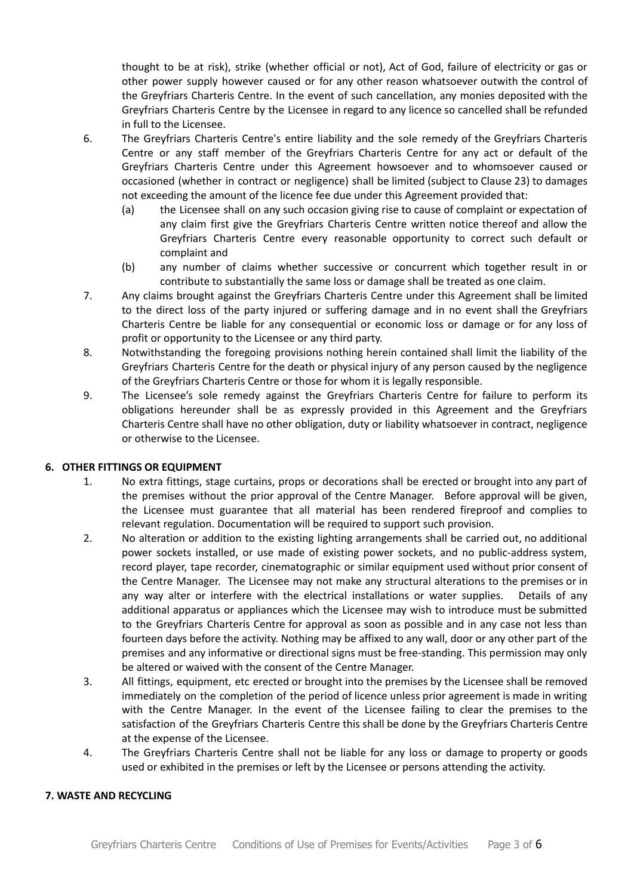thought to be at risk), strike (whether official or not), Act of God, failure of electricity or gas or other power supply however caused or for any other reason whatsoever outwith the control of the Greyfriars Charteris Centre. In the event of such cancellation, any monies deposited with the Greyfriars Charteris Centre by the Licensee in regard to any licence so cancelled shall be refunded in full to the Licensee.

- 6. The Greyfriars Charteris Centre's entire liability and the sole remedy of the Greyfriars Charteris Centre or any staff member of the Greyfriars Charteris Centre for any act or default of the Greyfriars Charteris Centre under this Agreement howsoever and to whomsoever caused or occasioned (whether in contract or negligence) shall be limited (subject to Clause 23) to damages not exceeding the amount of the licence fee due under this Agreement provided that:
	- (a) the Licensee shall on any such occasion giving rise to cause of complaint or expectation of any claim first give the Greyfriars Charteris Centre written notice thereof and allow the Greyfriars Charteris Centre every reasonable opportunity to correct such default or complaint and
	- (b) any number of claims whether successive or concurrent which together result in or contribute to substantially the same loss or damage shall be treated as one claim.
- 7. Any claims brought against the Greyfriars Charteris Centre under this Agreement shall be limited to the direct loss of the party injured or suffering damage and in no event shall the Greyfriars Charteris Centre be liable for any consequential or economic loss or damage or for any loss of profit or opportunity to the Licensee or any third party.
- 8. Notwithstanding the foregoing provisions nothing herein contained shall limit the liability of the Greyfriars Charteris Centre for the death or physical injury of any person caused by the negligence of the Greyfriars Charteris Centre or those for whom it is legally responsible.
- 9. The Licensee's sole remedy against the Greyfriars Charteris Centre for failure to perform its obligations hereunder shall be as expressly provided in this Agreement and the Greyfriars Charteris Centre shall have no other obligation, duty or liability whatsoever in contract, negligence or otherwise to the Licensee.

#### **6. OTHER FITTINGS OR EQUIPMENT**

- 1. No extra fittings, stage curtains, props or decorations shall be erected or brought into any part of the premises without the prior approval of the Centre Manager. Before approval will be given, the Licensee must guarantee that all material has been rendered fireproof and complies to relevant regulation. Documentation will be required to support such provision.
- 2. No alteration or addition to the existing lighting arrangements shall be carried out, no additional power sockets installed, or use made of existing power sockets, and no public-address system, record player, tape recorder, cinematographic or similar equipment used without prior consent of the Centre Manager. The Licensee may not make any structural alterations to the premises or in any way alter or interfere with the electrical installations or water supplies. Details of any additional apparatus or appliances which the Licensee may wish to introduce must be submitted to the Greyfriars Charteris Centre for approval as soon as possible and in any case not less than fourteen days before the activity. Nothing may be affixed to any wall, door or any other part of the premises and any informative or directional signs must be free-standing. This permission may only be altered or waived with the consent of the Centre Manager.
- 3. All fittings, equipment, etc erected or brought into the premises by the Licensee shall be removed immediately on the completion of the period of licence unless prior agreement is made in writing with the Centre Manager. In the event of the Licensee failing to clear the premises to the satisfaction of the Greyfriars Charteris Centre this shall be done by the Greyfriars Charteris Centre at the expense of the Licensee.
- 4. The Greyfriars Charteris Centre shall not be liable for any loss or damage to property or goods used or exhibited in the premises or left by the Licensee or persons attending the activity.

#### **7. WASTE AND RECYCLING**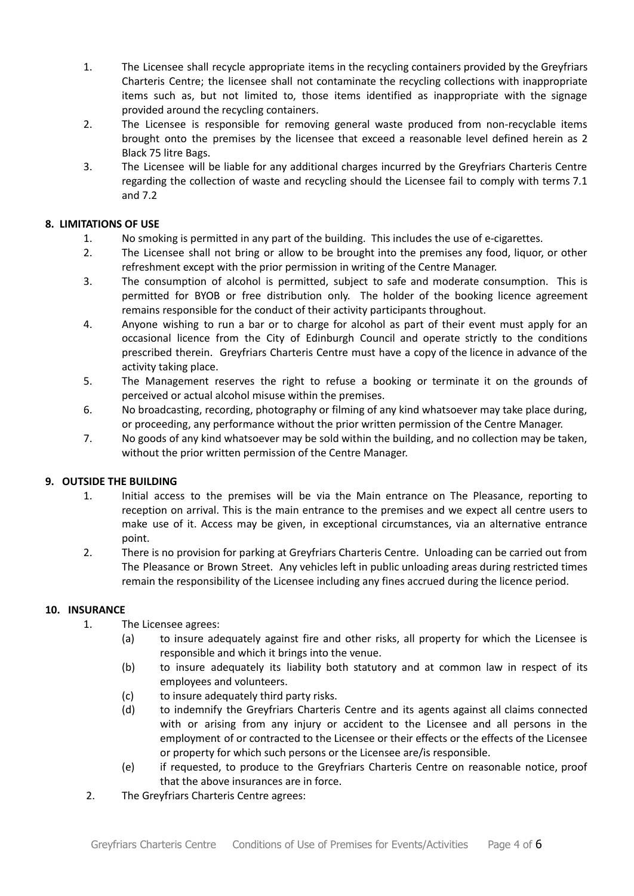- 1. The Licensee shall recycle appropriate items in the recycling containers provided by the Greyfriars Charteris Centre; the licensee shall not contaminate the recycling collections with inappropriate items such as, but not limited to, those items identified as inappropriate with the signage provided around the recycling containers.
- 2. The Licensee is responsible for removing general waste produced from non-recyclable items brought onto the premises by the licensee that exceed a reasonable level defined herein as 2 Black 75 litre Bags.
- 3. The Licensee will be liable for any additional charges incurred by the Greyfriars Charteris Centre regarding the collection of waste and recycling should the Licensee fail to comply with terms 7.1 and 7.2

# **8. LIMITATIONS OF USE**

- 1. No smoking is permitted in any part of the building. This includes the use of e-cigarettes.
- 2. The Licensee shall not bring or allow to be brought into the premises any food, liquor, or other refreshment except with the prior permission in writing of the Centre Manager.
- 3. The consumption of alcohol is permitted, subject to safe and moderate consumption. This is permitted for BYOB or free distribution only. The holder of the booking licence agreement remains responsible for the conduct of their activity participants throughout.
- 4. Anyone wishing to run a bar or to charge for alcohol as part of their event must apply for an occasional licence from the City of Edinburgh Council and operate strictly to the conditions prescribed therein. Greyfriars Charteris Centre must have a copy of the licence in advance of the activity taking place.
- 5. The Management reserves the right to refuse a booking or terminate it on the grounds of perceived or actual alcohol misuse within the premises.
- 6. No broadcasting, recording, photography or filming of any kind whatsoever may take place during, or proceeding, any performance without the prior written permission of the Centre Manager.
- 7. No goods of any kind whatsoever may be sold within the building, and no collection may be taken, without the prior written permission of the Centre Manager.

# **9. OUTSIDE THE BUILDING**

- 1. Initial access to the premises will be via the Main entrance on The Pleasance, reporting to reception on arrival. This is the main entrance to the premises and we expect all centre users to make use of it. Access may be given, in exceptional circumstances, via an alternative entrance point.
- 2. There is no provision for parking at Greyfriars Charteris Centre. Unloading can be carried out from The Pleasance or Brown Street. Any vehicles left in public unloading areas during restricted times remain the responsibility of the Licensee including any fines accrued during the licence period.

#### **10. INSURANCE**

- 1. The Licensee agrees:
	- (a) to insure adequately against fire and other risks, all property for which the Licensee is responsible and which it brings into the venue.
	- (b) to insure adequately its liability both statutory and at common law in respect of its employees and volunteers.
	- (c) to insure adequately third party risks.
	- (d) to indemnify the Greyfriars Charteris Centre and its agents against all claims connected with or arising from any injury or accident to the Licensee and all persons in the employment of or contracted to the Licensee or their effects or the effects of the Licensee or property for which such persons or the Licensee are/is responsible.
	- (e) if requested, to produce to the Greyfriars Charteris Centre on reasonable notice, proof that the above insurances are in force.
- 2. The Greyfriars Charteris Centre agrees: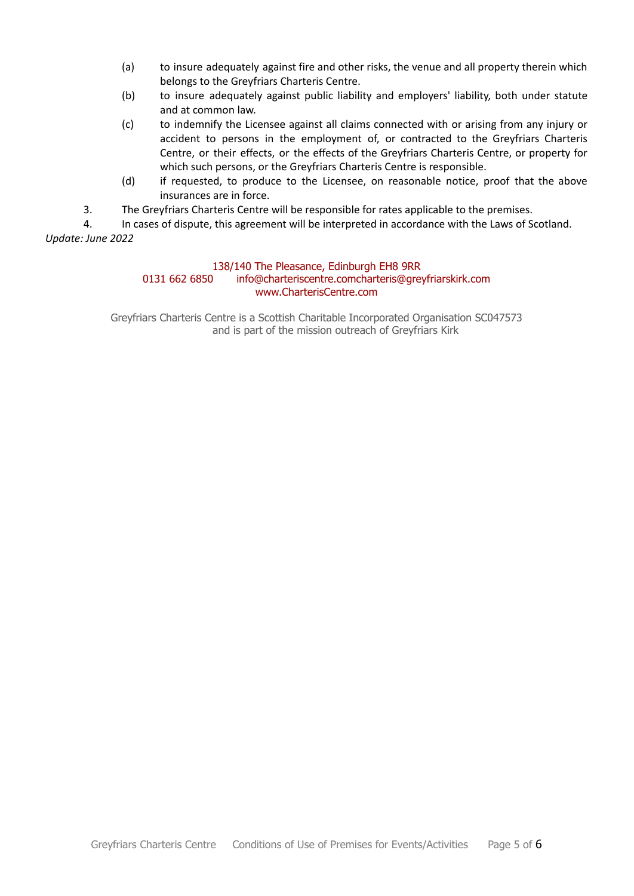- (a) to insure adequately against fire and other risks, the venue and all property therein which belongs to the Greyfriars Charteris Centre.
- (b) to insure adequately against public liability and employers' liability, both under statute and at common law.
- (c) to indemnify the Licensee against all claims connected with or arising from any injury or accident to persons in the employment of, or contracted to the Greyfriars Charteris Centre, or their effects, or the effects of the Greyfriars Charteris Centre, or property for which such persons, or the Greyfriars Charteris Centre is responsible.
- (d) if requested, to produce to the Licensee, on reasonable notice, proof that the above insurances are in force.
- 3. The Greyfriars Charteris Centre will be responsible for rates applicable to the premises.

4. In cases of dispute, this agreement will be interpreted in accordance with the Laws of Scotland. *Update: June 2022*

# 138/140 The Pleasance, Edinburgh EH8 9RR

#### 0131 662 6850 info@charteriscentre.comcharteris@greyfriarskirk.com www.CharterisCentre.com

Greyfriars Charteris Centre is a Scottish Charitable Incorporated Organisation SC047573 and is part of the mission outreach of Greyfriars Kirk